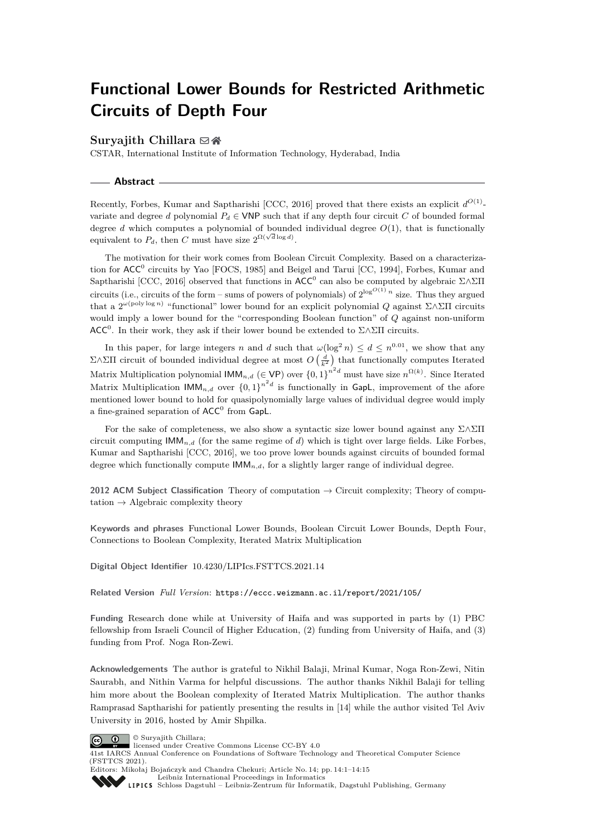# **Functional Lower Bounds for Restricted Arithmetic Circuits of Depth Four**

### **Suryajith Chillara** ⊠ **n**

CSTAR, International Institute of Information Technology, Hyderabad, India

**Abstract**

Recently, Forbes, Kumar and Saptharishi [CCC, 2016] proved that there exists an explicit  $d^{O(1)}$ variate and degree *d* polynomial  $P_d \in \text{VNP}$  such that if any depth four circuit *C* of bounded formal degree *d* which computes a polynomial of bounded individual degree  $O(1)$ , that is functionally equivalent to  $P_d$ , then *C* must have size  $2^{\Omega(\sqrt{d} \log d)}$ .

The motivation for their work comes from Boolean Circuit Complexity. Based on a characterization for ACC<sup>0</sup> circuits by Yao [FOCS, 1985] and Beigel and Tarui [CC, 1994], Forbes, Kumar and Saptharishi [CCC, 2016] observed that functions in  $\mathsf{ACC}^0$  can also be computed by algebraic  $\Sigma \wedge \Sigma \Pi$ circuits (i.e., circuits of the form – sums of powers of polynomials) of  $2^{\log^{O(1)} n}$  size. Thus they argued that a 2 *ω*(poly log *n*) "functional" lower bound for an explicit polynomial *Q* against Σ∧ΣΠ circuits would imply a lower bound for the "corresponding Boolean function" of *Q* against non-uniform ACC<sup>0</sup>. In their work, they ask if their lower bound be extended to  $\Sigma \wedge \Sigma \Pi$  circuits.

In this paper, for large integers *n* and *d* such that  $\omega(\log^2 n) \leq d \leq n^{0.01}$ , we show that any  $\Sigma \wedge \Sigma \Pi$  circuit of bounded individual degree at most  $O\left(\frac{d}{k^2}\right)$  that functionally computes Iterated Matrix Multiplication polynomial  $\mathsf{IMM}_{n,d}$  ( $\in \mathsf{VP}$ ) over  $\{0,1\}^{n^2d}$  must have size  $n^{\Omega(k)}$ . Since Iterated Matrix Multiplication  $\mathsf{IMM}_{n,d}$  over  $\{0,1\}^{n^2d}$  is functionally in GapL, improvement of the afore mentioned lower bound to hold for quasipolynomially large values of individual degree would imply a fine-grained separation of  $ACC^{0}$  from GapL.

For the sake of completeness, we also show a syntactic size lower bound against any Σ∧ΣΠ circuit computing  $\mathsf{IMM}_{n,d}$  (for the same regime of *d*) which is tight over large fields. Like Forbes, Kumar and Saptharishi [CCC, 2016], we too prove lower bounds against circuits of bounded formal degree which functionally compute  $\mathsf{IMM}_{n,d}$ , for a slightly larger range of individual degree.

**2012 ACM Subject Classification** Theory of computation → Circuit complexity; Theory of computation  $\rightarrow$  Algebraic complexity theory

**Keywords and phrases** Functional Lower Bounds, Boolean Circuit Lower Bounds, Depth Four, Connections to Boolean Complexity, Iterated Matrix Multiplication

**Digital Object Identifier** [10.4230/LIPIcs.FSTTCS.2021.14](https://doi.org/10.4230/LIPIcs.FSTTCS.2021.14)

**Related Version** *Full Version*: <https://eccc.weizmann.ac.il/report/2021/105/>

**Funding** Research done while at University of Haifa and was supported in parts by (1) PBC fellowship from Israeli Council of Higher Education, (2) funding from University of Haifa, and (3) funding from Prof. Noga Ron-Zewi.

**Acknowledgements** The author is grateful to Nikhil Balaji, Mrinal Kumar, Noga Ron-Zewi, Nitin Saurabh, and Nithin Varma for helpful discussions. The author thanks Nikhil Balaji for telling him more about the Boolean complexity of Iterated Matrix Multiplication. The author thanks Ramprasad Saptharishi for patiently presenting the results in [\[14\]](#page-12-0) while the author visited Tel Aviv University in 2016, hosted by Amir Shpilka.





41st IARCS Annual Conference on Foundations of Software Technology and Theoretical Computer Science (FSTTCS 2021).

Editors: Mikołaj Bojańczyk and Chandra Chekuri; Article No. 14; pp. 14:1–14:15 [Leibniz International Proceedings in Informatics](https://www.dagstuhl.de/lipics/)

[Schloss Dagstuhl – Leibniz-Zentrum für Informatik, Dagstuhl Publishing, Germany](https://www.dagstuhl.de)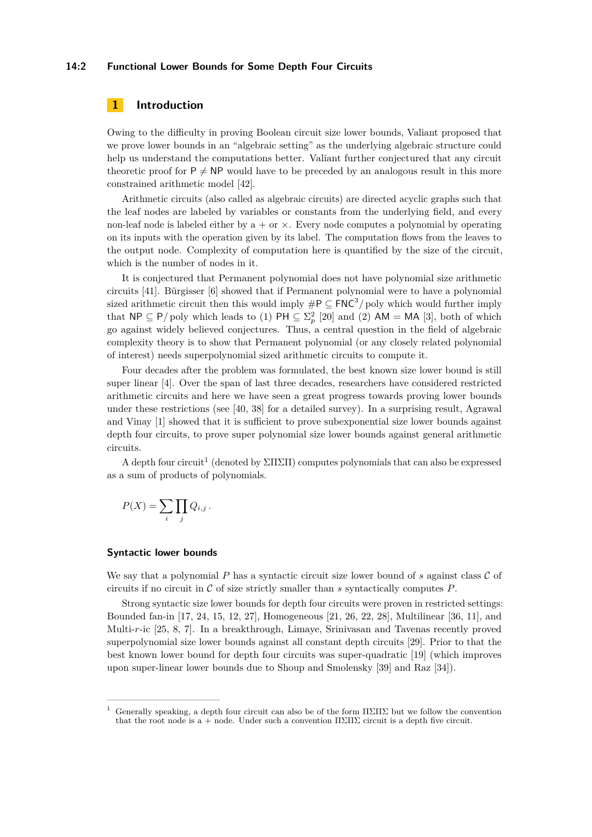### **14:2 Functional Lower Bounds for Some Depth Four Circuits**

# **1 Introduction**

Owing to the difficulty in proving Boolean circuit size lower bounds, Valiant proposed that we prove lower bounds in an "algebraic setting" as the underlying algebraic structure could help us understand the computations better. Valiant further conjectured that any circuit theoretic proof for  $P \neq NP$  would have to be preceded by an analogous result in this more constrained arithmetic model [\[42\]](#page-14-0).

Arithmetic circuits (also called as algebraic circuits) are directed acyclic graphs such that the leaf nodes are labeled by variables or constants from the underlying field, and every non-leaf node is labeled either by  $a + or \times$ . Every node computes a polynomial by operating on its inputs with the operation given by its label. The computation flows from the leaves to the output node. Complexity of computation here is quantified by the size of the circuit, which is the number of nodes in it.

It is conjectured that Permanent polynomial does not have polynomial size arithmetic circuits [\[41\]](#page-14-1). Bürgisser [\[6\]](#page-12-1) showed that if Permanent polynomial were to have a polynomial sized arithmetic circuit then this would imply  $\#P \subseteq \text{FNC}^3/\text{poly}$  which would further imply that  $\mathsf{NP} \subseteq \mathsf{P}/\text{poly}$  which leads to (1)  $\mathsf{PH} \subseteq \Sigma^2_p$  [\[20\]](#page-13-0) and (2)  $\mathsf{AM} = \mathsf{MA}$  [\[3\]](#page-12-2), both of which go against widely believed conjectures. Thus, a central question in the field of algebraic complexity theory is to show that Permanent polynomial (or any closely related polynomial of interest) needs superpolynomial sized arithmetic circuits to compute it.

Four decades after the problem was formulated, the best known size lower bound is still super linear [\[4\]](#page-12-3). Over the span of last three decades, researchers have considered restricted arithmetic circuits and here we have seen a great progress towards proving lower bounds under these restrictions (see [\[40,](#page-14-2) [38\]](#page-14-3) for a detailed survey). In a surprising result, Agrawal and Vinay [\[1\]](#page-12-4) showed that it is sufficient to prove subexponential size lower bounds against depth four circuits, to prove super polynomial size lower bounds against general arithmetic circuits.

A depth four circuit<sup>[1](#page-1-0)</sup> (denoted by  $\Sigma\Pi\Sigma\Pi$ ) computes polynomials that can also be expressed as a sum of products of polynomials.

$$
P(X) = \sum_{i} \prod_{j} Q_{i,j}.
$$

### **Syntactic lower bounds**

We say that a polynomial  $P$  has a syntactic circuit size lower bound of  $s$  against class  $C$  of circuits if no circuit in C of size strictly smaller than *s* syntactically computes *P*.

Strong syntactic size lower bounds for depth four circuits were proven in restricted settings: Bounded fan-in [\[17,](#page-13-1) [24,](#page-13-2) [15,](#page-12-5) [12,](#page-12-6) [27\]](#page-13-3), Homogeneous [\[21,](#page-13-4) [26,](#page-13-5) [22,](#page-13-6) [28\]](#page-13-7), Multilinear [\[36,](#page-14-4) [11\]](#page-12-7), and Multi-*r*-ic [\[25,](#page-13-8) [8,](#page-12-8) [7\]](#page-12-9). In a breakthrough, Limaye, Srinivasan and Tavenas recently proved superpolynomial size lower bounds against all constant depth circuits [\[29\]](#page-13-9). Prior to that the best known lower bound for depth four circuits was super-quadratic [\[19\]](#page-13-10) (which improves upon super-linear lower bounds due to Shoup and Smolensky [\[39\]](#page-14-5) and Raz [\[34\]](#page-14-6)).

<span id="page-1-0"></span>Generally speaking, a depth four circuit can also be of the form  $\Pi\Sigma\Pi\Sigma$  but we follow the convention that the root node is a + node. Under such a convention  $\Pi\Sigma\Pi\Sigma$  circuit is a depth five circuit.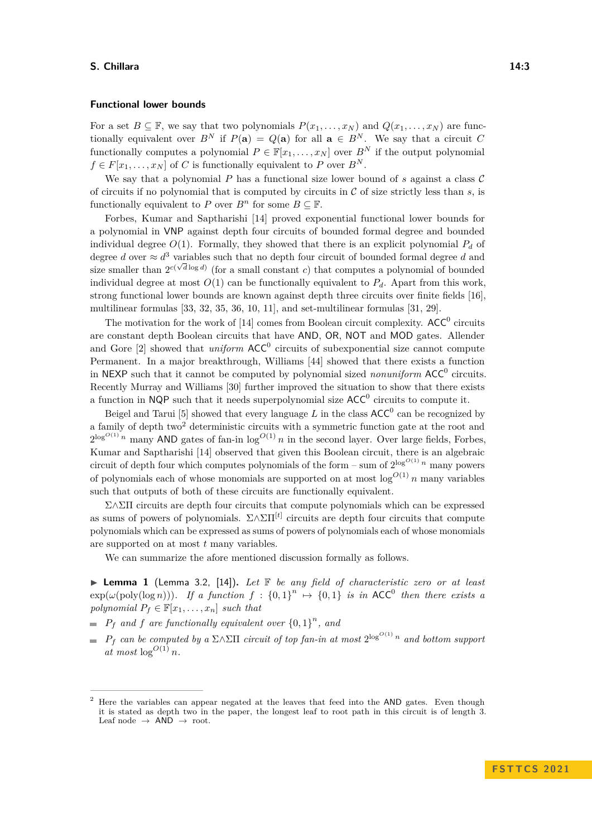### **Functional lower bounds**

For a set  $B \subseteq \mathbb{F}$ , we say that two polynomials  $P(x_1, \ldots, x_N)$  and  $Q(x_1, \ldots, x_N)$  are functionally equivalent over  $B^N$  if  $P(\mathbf{a}) = Q(\mathbf{a})$  for all  $\mathbf{a} \in B^N$ . We say that a circuit *C* functionally computes a polynomial  $P \in \mathbb{F}[x_1, \ldots, x_N]$  over  $B^N$  if the output polynomial  $f \in F[x_1, \ldots, x_N]$  of *C* is functionally equivalent to *P* over  $B^N$ .

We say that a polynomial  $P$  has a functional size lower bound of  $s$  against a class  $\mathcal C$ of circuits if no polynomial that is computed by circuits in  $\mathcal C$  of size strictly less than  $s$ , is functionally equivalent to *P* over  $B^n$  for some  $B \subseteq \mathbb{F}$ .

Forbes, Kumar and Saptharishi [\[14\]](#page-12-0) proved exponential functional lower bounds for a polynomial in VNP against depth four circuits of bounded formal degree and bounded individual degree  $O(1)$ . Formally, they showed that there is an explicit polynomial  $P_d$  of degree *d* over  $\approx d^3$  variables such that no depth four circuit of bounded formal degree *d* and size smaller than  $2^{c(\sqrt{d}\log d)}$  (for a small constant *c*) that computes a polynomial of bounded individual degree at most  $O(1)$  can be functionally equivalent to  $P_d$ . Apart from this work, strong functional lower bounds are known against depth three circuits over finite fields [\[16\]](#page-12-10), multilinear formulas [\[33,](#page-13-11) [32,](#page-13-12) [35,](#page-14-7) [36,](#page-14-4) [10,](#page-12-11) [11\]](#page-12-7), and set-multilinear formulas [\[31,](#page-13-13) [29\]](#page-13-9).

The motivation for the work of [\[14\]](#page-12-0) comes from Boolean circuit complexity.  $ACC^0$  circuits are constant depth Boolean circuits that have AND, OR, NOT and MOD gates. Allender and Gore [\[2\]](#page-12-12) showed that *uniform*  $ACC^0$  circuits of subexponential size cannot compute Permanent. In a major breakthrough, Williams [\[44\]](#page-14-8) showed that there exists a function in NEXP such that it cannot be computed by polynomial sized *nonuniform* ACC<sup>0</sup> circuits. Recently Murray and Williams [\[30\]](#page-13-14) further improved the situation to show that there exists a function in NQP such that it needs superpolynomial size  $ACC^0$  circuits to compute it.

Beigel and Tarui [\[5\]](#page-12-13) showed that every language  $L$  in the class  $ACC^0$  can be recognized by a family of depth two<sup>[2](#page-2-0)</sup> deterministic circuits with a symmetric function gate at the root and  $2^{\log^{O(1)} n}$  many AND gates of fan-in  $\log^{O(1)} n$  in the second layer. Over large fields, Forbes, Kumar and Saptharishi [\[14\]](#page-12-0) observed that given this Boolean circuit, there is an algebraic circuit of depth four which computes polynomials of the form – sum of  $2^{\log^{O(1)} n}$  many powers of polynomials each of whose monomials are supported on at most  $\log^{O(1)} n$  many variables such that outputs of both of these circuits are functionally equivalent.

Σ∧ΣΠ circuits are depth four circuits that compute polynomials which can be expressed as sums of powers of polynomials. Σ∧ΣΠ[*t*] circuits are depth four circuits that compute polynomials which can be expressed as sums of powers of polynomials each of whose monomials are supported on at most *t* many variables.

We can summarize the afore mentioned discussion formally as follows.

▶ **Lemma 1** (Lemma 3.2, [\[14\]](#page-12-0))**.** *Let* F *be any field of characteristic zero or at least*  $exp(\omega(\text{poly}(\log n)))$ *. If a function*  $f : \{0,1\}^n \mapsto \{0,1\}$  *is in* ACC<sup>0</sup> *then there exists a polynomial*  $P_f \in \mathbb{F}[x_1, \ldots, x_n]$  *such that* 

- $P_f$  *and*  $f$  *are functionally equivalent over*  $\{0, 1\}^n$ , *and*
- $P_f$  *can be computed by a*  $\Sigma \wedge \Sigma \Pi$  *circuit of top fan-in at most*  $2^{\log^{O(1)} n}$  *and bottom support*  $\int$ *at* most  $\log^{O(1)} n$ .

<span id="page-2-0"></span><sup>2</sup> Here the variables can appear negated at the leaves that feed into the AND gates. Even though it is stated as depth two in the paper, the longest leaf to root path in this circuit is of length 3. Leaf node  $\rightarrow$  AND  $\rightarrow$  root.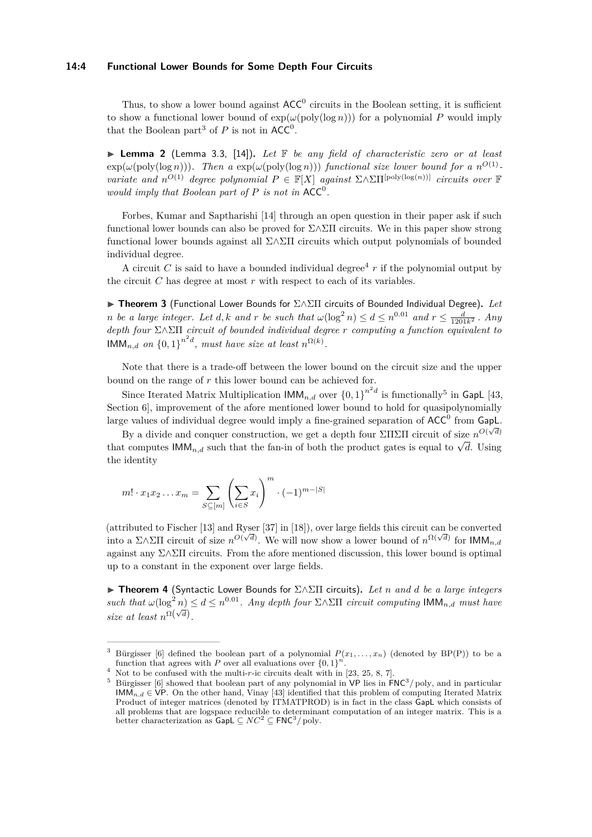### **14:4 Functional Lower Bounds for Some Depth Four Circuits**

Thus, to show a lower bound against  $ACC^0$  circuits in the Boolean setting, it is sufficient to show a functional lower bound of  $\exp(\omega(\text{poly}(\log n)))$  for a polynomial P would imply that the Boolean part<sup>[3](#page-3-0)</sup> of  $P$  is not in  $ACC<sup>0</sup>$ .

▶ **Lemma 2** (Lemma 3.3, [\[14\]](#page-12-0))**.** *Let* F *be any field of characteristic zero or at least*  $\exp(\omega(\text{poly}(\log n)))$ . Then a  $\exp(\omega(\text{poly}(\log n)))$  functional size lower bound for a  $n^{O(1)}$ . *variate and*  $n^{O(1)}$  *degree polynomial*  $P \in \mathbb{F}[X]$  *against*  $\Sigma \wedge \Sigma \Pi^{[\text{poly}(\log(n))] }$  *circuits over*  $\mathbb{F}[X]$ *would imply that Boolean part of*  $P$  *is not in*  $ACC^0$ *.* 

Forbes, Kumar and Saptharishi [\[14\]](#page-12-0) through an open question in their paper ask if such functional lower bounds can also be proved for  $\Sigma \wedge \Sigma \Pi$  circuits. We in this paper show strong functional lower bounds against all Σ∧ΣΠ circuits which output polynomials of bounded individual degree.

A circuit *C* is said to have a bounded individual degree<sup>[4](#page-3-1)</sup>  $r$  if the polynomial output by the circuit *C* has degree at most *r* with respect to each of its variables.

<span id="page-3-3"></span>▶ **Theorem 3** (Functional Lower Bounds for Σ∧ΣΠ circuits of Bounded Individual Degree)**.** *Let n be a large integer. Let <i>d,k and r be such that*  $\omega(\log^2 n) \leq d \leq n^{0.01}$  *and*  $r \leq \frac{d}{1201k^2}$ . *Any depth four* Σ∧ΣΠ *circuit of bounded individual degree r computing a function equivalent to*  $\textsf{HMM}_{n,d}$  on  $\left\{0,1\right\}^{n^2d}$ , must have size at least  $n^{\Omega(k)}$ .

Note that there is a trade-off between the lower bound on the circuit size and the upper bound on the range of *r* this lower bound can be achieved for.

Since Iterated Matrix Multiplication  $\text{IMM}_{n,d}$  over  $\{0,1\}^{n^2d}$  is functionally<sup>[5](#page-3-2)</sup> in GapL [\[43,](#page-14-9) Section 6, improvement of the afore mentioned lower bound to hold for quasipolynomially large values of individual degree would imply a fine-grained separation of  $\mathsf{ACC}^0$  from GapL.

By a divide and conquer construction, we get a depth four ΣΠΣΠ circuit of size  $n^{O(\sqrt{d})}$ By a divide and conquet construction, we get a depth four  $\angle 11\angle 11$  circuit of size  $n \leftrightarrow n$  that computes  $\mathsf{IMM}_{n,d}$  such that the fan-in of both the product gates is equal to  $\sqrt{d}$ . Using the identity

$$
m! \cdot x_1 x_2 \dots x_m = \sum_{S \subseteq [m]} \left(\sum_{i \in S} x_i\right)^m \cdot (-1)^{m-|S|}
$$

(attributed to Fischer [\[13\]](#page-12-14) and Ryser [\[37\]](#page-14-10) in [\[18\]](#page-13-15)), over large fields this circuit can be converted into a Σ∧ΣΠ circuit of size *n*<sup>*O*(√*d*</sup>). We will now show a lower bound of *n*<sup>Ω(√*d*</sup>) for IMM<sub>*n,d*</sub> against any  $\Sigma \wedge \Sigma \Pi$  circuits. From the afore mentioned discussion, this lower bound is optimal up to a constant in the exponent over large fields.

▶ **Theorem 4** (Syntactic Lower Bounds for Σ∧ΣΠ circuits)**.** *Let n and d be a large integers such that*  $\omega(\log^2 n) \leq d \leq n^{0.01}$ . Any depth four  $\Sigma \wedge \Sigma \Pi$  circuit computing  $\mathsf{IMM}_{n,d}$  *must have size at least*  $n^{\Omega(\sqrt{d})}$ .

<span id="page-3-0"></span>Bürgisser [\[6\]](#page-12-1) defined the boolean part of a polynomial  $P(x_1, \ldots, x_n)$  (denoted by BP(P)) to be a function that agrees with *P* over all evaluations over  $\{0,1\}^n$ .

<span id="page-3-1"></span> $4$  Not to be confused with the multi- $r$ -ic circuits dealt with in [\[23,](#page-13-16) [25,](#page-13-8) [8,](#page-12-8) [7\]](#page-12-9).

<span id="page-3-2"></span><sup>&</sup>lt;sup>5</sup> Bürgisser [\[6\]](#page-12-1) showed that boolean part of any polynomial in VP lies in  $FNC^3$  poly, and in particular IMM<sub>n,d</sub>  $\in$  VP. On the other hand, Vinay [\[43\]](#page-14-9) identified that this problem of computing Iterated Matrix Product of integer matrices (denoted by ITMATPROD) is in fact in the class GapL which consists of all problems that are logspace reducible to determinant computation of an integer matrix. This is a better characterization as  $\text{GapL} \subseteq NC^2 \subseteq \text{FNC}^3/\text{poly}$ .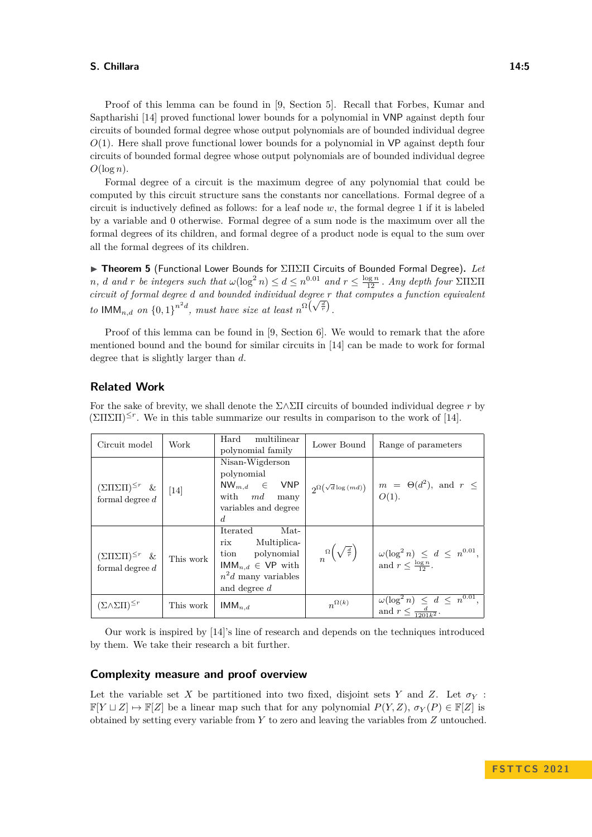Proof of this lemma can be found in [\[9,](#page-12-15) Section 5]. Recall that Forbes, Kumar and Saptharishi [\[14\]](#page-12-0) proved functional lower bounds for a polynomial in VNP against depth four circuits of bounded formal degree whose output polynomials are of bounded individual degree *O*(1). Here shall prove functional lower bounds for a polynomial in VP against depth four circuits of bounded formal degree whose output polynomials are of bounded individual degree  $O(\log n)$ .

Formal degree of a circuit is the maximum degree of any polynomial that could be computed by this circuit structure sans the constants nor cancellations. Formal degree of a circuit is inductively defined as follows: for a leaf node *w*, the formal degree 1 if it is labeled by a variable and 0 otherwise. Formal degree of a sum node is the maximum over all the formal degrees of its children, and formal degree of a product node is equal to the sum over all the formal degrees of its children.

▶ **Theorem 5** (Functional Lower Bounds for ΣΠΣΠ Circuits of Bounded Formal Degree)**.** *Let n*, *d and r be integers such that*  $\omega(\log^2 n) \leq d \leq n^{0.01}$  *and*  $r \leq \frac{\log n}{12}$ . *Any depth four* ΣΠΣΠ *circuit of formal degree d and bounded individual degree r that computes a function equivalent to*  $\text{IMM}_{n,d}$  *on*  $\left\{0,1\right\}^{n^2d}$ , *must have size at least*  $n^{\Omega\left(\sqrt{\frac{d}{r}}\right)}$ .

Proof of this lemma can be found in [\[9,](#page-12-15) Section 6]. We would to remark that the afore mentioned bound and the bound for similar circuits in [\[14\]](#page-12-0) can be made to work for formal degree that is slightly larger than *d*.

# **Related Work**

Circuit model Work Hard multilinear Lower Bound | Range of parameters  $(\Sigma \Pi \Sigma \Pi)^{\leq r}$  & formal degree *d* [\[14\]](#page-12-0) Nisan-Wigderson polynomial NW*m,d* ∈ VNP with *md* many variables and degree *d*  $2^{\Omega(\sqrt{d}\log(md))}$  *m* =  $\Theta(d)$ <sup>2</sup>), and  $r \leq$ *O*(1).  $(\Sigma \Pi \Sigma \Pi)^{\leq r}$  & formal degree *d* This work Iterated Matrix Multiplication polynomial  $IMM_{n,d} \in VP$  with  $n^2d$  many variables and degree *d n* Ω  $\left(\sqrt{\frac{d}{r}}\right)$ *r* `\  $\omega(\log^2 n) \leq d \leq n^{0.01}$ and  $r \leq \frac{\log n}{12}$ .  $(\Sigma \wedge \Sigma \Pi)^{\leq r}$  | This work | IMM<sub>*n,d*</sub> | *n*<sup> $\Omega(k)$ </sup>  $\omega(\log^2 n)$ 0*.*01 , and  $r$ *d*  $\frac{d}{1201k^2}$ .

For the sake of brevity, we shall denote the Σ∧ΣΠ circuits of bounded individual degree *r* by  $(\Sigma\Pi\Sigma\Pi)^{\leq r}$ . We in this table summarize our results in comparison to the work of [\[14\]](#page-12-0).

Our work is inspired by [\[14\]](#page-12-0)'s line of research and depends on the techniques introduced by them. We take their research a bit further.

### **Complexity measure and proof overview**

Let the variable set X be partitioned into two fixed, disjoint sets Y and Z. Let  $\sigma_Y$ :  $\mathbb{F}[Y \sqcup Z] \mapsto \mathbb{F}[Z]$  be a linear map such that for any polynomial  $P(Y, Z)$ ,  $\sigma_Y(P) \in \mathbb{F}[Z]$  is obtained by setting every variable from *Y* to zero and leaving the variables from *Z* untouched.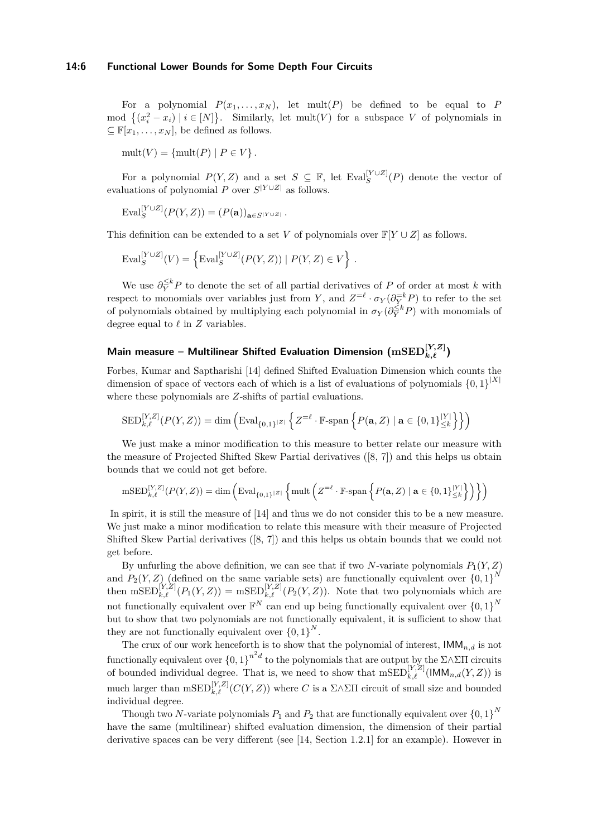### **14:6 Functional Lower Bounds for Some Depth Four Circuits**

For a polynomial  $P(x_1, \ldots, x_N)$ , let mult(*P*) be defined to be equal to *P* mod  $\{(x_i^2 - x_i) \mid i \in [N]\}$ . Similarly, let mult(*V*) for a subspace *V* of polynomials in  $\subseteq \mathbb{F}[x_1,\ldots,x_N],$  be defined as follows.

 $mult(V) = \{mult(P) | P \in V \}.$ 

For a polynomial  $P(Y, Z)$  and a set  $S \subseteq \mathbb{F}$ , let  $Eval_S^{[Y \cup Z]}(P)$  denote the vector of evaluations of polynomial *P* over  $S^{|Y \cup Z|}$  as follows.

$$
\mathrm{Eval}_{S}^{[Y\cup Z]}(P(Y,Z)) = (P(\mathbf{a}))_{\mathbf{a}\in S^{|Y\cup Z|}}.
$$

This definition can be extended to a set *V* of polynomials over  $\mathbb{F}[Y \cup Z]$  as follows.

$$
\mathrm{Eval}_S^{[Y \cup Z]}(V) = \left\{ \mathrm{Eval}_S^{[Y \cup Z]}(P(Y, Z)) \mid P(Y, Z) \in V \right\}.
$$

We use  $\partial_Y^{\leq k} P$  to denote the set of all partial derivatives of P of order at most k with respect to monomials over variables just from *Y*, and  $Z^{=\ell} \cdot \sigma_Y(\partial_{\overline{Y}}^{\overline{E}k}P)$  to refer to the set of polynomials obtained by multiplying each polynomial in  $\sigma_Y(\partial_Y^{\leq k} P)$  with monomials of degree equal to *ℓ* in *Z* variables.

# ${\sf Main}$  measure – Multilinear Shifted Evaluation Dimension  $\left(\text{mSED}_{k,\ell}^{[Y,Z]}\right)$

Forbes, Kumar and Saptharishi [\[14\]](#page-12-0) defined Shifted Evaluation Dimension which counts the dimension of space of vectors each of which is a list of evaluations of polynomials  $\{0,1\}^{|X|}$ where these polynomials are *Z*-shifts of partial evaluations.

$$
\mathrm{SED}_{k,\ell}^{[Y,Z]}(P(Y,Z)) = \dim \left( \mathrm{Eval}_{\{0,1\}^{|Z|}} \left\{ Z^{=\ell} \cdot \mathbb{F}\text{-span}\left\{ P(\mathbf{a},Z) \mid \mathbf{a} \in \{0,1\}^{|Y|}_{\leq k} \right\} \right\} \right)
$$

We just make a minor modification to this measure to better relate our measure with the measure of Projected Shifted Skew Partial derivatives ([\[8,](#page-12-8) [7\]](#page-12-9)) and this helps us obtain bounds that we could not get before.

$$
\mathrm{mSED}_{k,\ell}^{[Y,Z]}(P(Y,Z)) = \mathrm{dim}\left(\mathrm{Eval}_{\{0,1\}^{|Z|}}\left\{\mathrm{mult}\left(Z^{=\ell}\cdot\mathbb{F}\text{-span}\left\{P(\mathbf{a},Z)\mid\mathbf{a}\in\{0,1\}_{\leq k}^{|Y|}\right\}\right)\right\}\right)
$$

In spirit, it is still the measure of [\[14\]](#page-12-0) and thus we do not consider this to be a new measure. We just make a minor modification to relate this measure with their measure of Projected Shifted Skew Partial derivatives ([\[8,](#page-12-8) [7\]](#page-12-9)) and this helps us obtain bounds that we could not get before.

By unfurling the above definition, we can see that if two *N*-variate polynomials  $P_1(Y, Z)$ and  $P_2(Y, Z)$  (defined on the same variable sets) are functionally equivalent over  ${0, 1}^N$ then  $\text{mSED}_{k,\ell}^{[Y,Z]}(P_1(Y,Z)) = \text{mSED}_{k,\ell}^{[Y,Z]}(P_2(Y,Z))$ . Note that two polynomials which are not functionally equivalent over  $\mathbb{F}^N$  can end up being functionally equivalent over  $\{0,1\}^N$ but to show that two polynomials are not functionally equivalent, it is sufficient to show that they are not functionally equivalent over  ${0,1}^N$ .

The crux of our work henceforth is to show that the polynomial of interest,  $\mathsf{IMM}_{n,d}$  is not functionally equivalent over  ${0,1}^{n^2d}$  to the polynomials that are output by the  $\Sigma \wedge \Sigma\Pi$  circuits of bounded individual degree. That is, we need to show that  $\text{mSED}_{k,\ell}^{[Y,Z]}(\text{IMM}_{n,d}(Y,Z))$  is much larger than  $\text{mSED}_{k,\ell}^{[Y,Z]}(C(Y,Z))$  where *C* is a  $\Sigma \wedge \Sigma \Pi$  circuit of small size and bounded individual degree.

Though two *N*-variate polynomials  $P_1$  and  $P_2$  that are functionally equivalent over  $\{0,1\}^N$ have the same (multilinear) shifted evaluation dimension, the dimension of their partial derivative spaces can be very different (see [\[14,](#page-12-0) Section 1.2.1] for an example). However in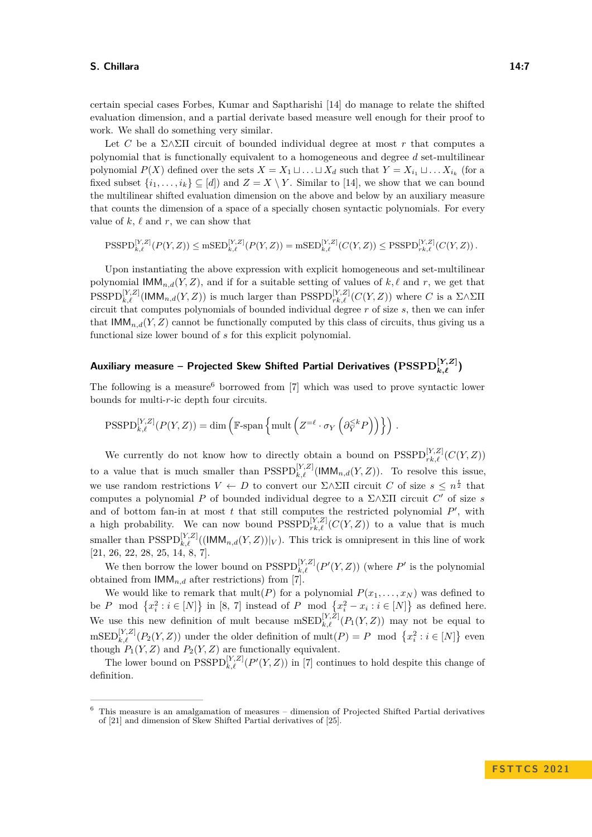certain special cases Forbes, Kumar and Saptharishi [\[14\]](#page-12-0) do manage to relate the shifted evaluation dimension, and a partial derivate based measure well enough for their proof to work. We shall do something very similar.

Let *C* be a  $\Sigma \wedge \Sigma \Pi$  circuit of bounded individual degree at most *r* that computes a polynomial that is functionally equivalent to a homogeneous and degree *d* set-multilinear polynomial  $P(X)$  defined over the sets  $X = X_1 \sqcup \ldots \sqcup X_d$  such that  $Y = X_{i_1} \sqcup \ldots X_{i_k}$  (for a fixed subset  $\{i_1, \ldots, i_k\} \subseteq [d]$  and  $Z = X \setminus Y$ . Similar to [\[14\]](#page-12-0), we show that we can bound the multilinear shifted evaluation dimension on the above and below by an auxiliary measure that counts the dimension of a space of a specially chosen syntactic polynomials. For every value of  $k, \ell$  and  $r$ , we can show that

$$
\text{PSSPD}_{k,\ell}^{[Y,Z]}(P(Y,Z)) \le \text{mSED}_{k,\ell}^{[Y,Z]}(P(Y,Z)) = \text{mSED}_{k,\ell}^{[Y,Z]}(C(Y,Z)) \le \text{PSSPD}_{rk,\ell}^{[Y,Z]}(C(Y,Z)).
$$

Upon instantiating the above expression with explicit homogeneous and set-multilinear polynomial  $\mathsf{IMM}_{n,d}(Y,Z)$ , and if for a suitable setting of values of  $k, \ell$  and  $r$ , we get that  $PSSPD_{k,\ell}^{[Y,Z]}$ (IMM<sub>n,d</sub>(*Y,Z*)) is much larger than  $PSSPD_{rk,\ell}^{[Y,Z]}(C(Y,Z))$  where *C* is a Σ∧ΣΠ circuit that computes polynomials of bounded individual degree *r* of size *s*, then we can infer that  $\text{IMM}_{n,d}(Y, Z)$  cannot be functionally computed by this class of circuits, thus giving us a functional size lower bound of *s* for this explicit polynomial.

# **Auxiliary measure – Projected Skew Shifted Partial Derivatives (PSSPD[***Y,Z***]** *k,ℓ* **)**

The following is a measure<sup>[6](#page-6-0)</sup> borrowed from [\[7\]](#page-12-9) which was used to prove syntactic lower bounds for multi-*r*-ic depth four circuits.

$$
\label{eq:PSSPD} {\rm{PSSPD}}_{k,\ell}^{[Y,Z]}(P(Y,Z)) = \dim \left( \mathbb{F}\text{-span} \left\{ \mathrm{mult} \left( Z^{=\ell} \cdot \sigma_Y \left( \partial_Y^{\le k} P \right) \right) \right\} \right)\,.
$$

We currently do not know how to directly obtain a bound on  $\text{PSSPD}_{rk,\ell}^{[Y,Z]}(C(Y,Z))$ to a value that is much smaller than  $\text{PSSPD}_{k,\ell}^{[Y,Z]}(\text{IMM}_{n,d}(Y,Z))$ . To resolve this issue, we use random restrictions  $V \leftarrow D$  to convert our  $\Sigma \wedge \Sigma \Pi$  circuit *C* of size  $s \leq n^{\frac{t}{2}}$  that computes a polynomial *P* of bounded individual degree to a Σ∧ΣΠ circuit *C* ′ of size *s* and of bottom fan-in at most  $t$  that still computes the restricted polynomial  $P'$ , with a high probability. We can now bound  $\text{PSSPD}_{rk,\ell}^{[Y,Z]}(C(Y,Z))$  to a value that is much smaller than  $\text{PSSPD}_{k,\ell}^{[Y,Z]}((\text{IMM}_{n,d}(Y,Z))|_V)$ . This trick is omnipresent in this line of work [\[21,](#page-13-4) [26,](#page-13-5) [22,](#page-13-6) [28,](#page-13-7) [25,](#page-13-8) [14,](#page-12-0) [8,](#page-12-8) [7\]](#page-12-9).

We then borrow the lower bound on  $\text{PSSPD}_{k,\ell}^{[Y,Z]}(P'(Y,Z))$  (where  $P'$  is the polynomial obtained from  $\mathsf{IMM}_{n,d}$  after restrictions) from [\[7\]](#page-12-9).

We would like to remark that  $mult(P)$  for a polynomial  $P(x_1, \ldots, x_N)$  was defined to be *P* mod  $\{x_i^2 : i \in [N]\}$  in [\[8,](#page-12-8) [7\]](#page-12-9) instead of *P* mod  $\{x_i^2 - x_i : i \in [N]\}$  as defined here. We use this new definition of mult because  $\text{mSED}_{k,\ell}^{[Y,Z]}(P_1(Y,Z))$  may not be equal to  $\mathrm{mSED}_{k,\ell}^{[Y,Z]}(P_2(Y,Z))$  under the older definition of  $\mathrm{mult}(P) = P \mod \{x_i^2 : i \in [N]\}$  even though  $P_1(Y, Z)$  and  $P_2(Y, Z)$  are functionally equivalent.

The lower bound on  $\text{PSSPD}_{k,\ell}^{[Y,Z]}(P'(Y,Z))$  in [\[7\]](#page-12-9) continues to hold despite this change of definition.

<span id="page-6-0"></span><sup>6</sup> This measure is an amalgamation of measures – dimension of Projected Shifted Partial derivatives of [\[21\]](#page-13-4) and dimension of Skew Shifted Partial derivatives of [\[25\]](#page-13-8).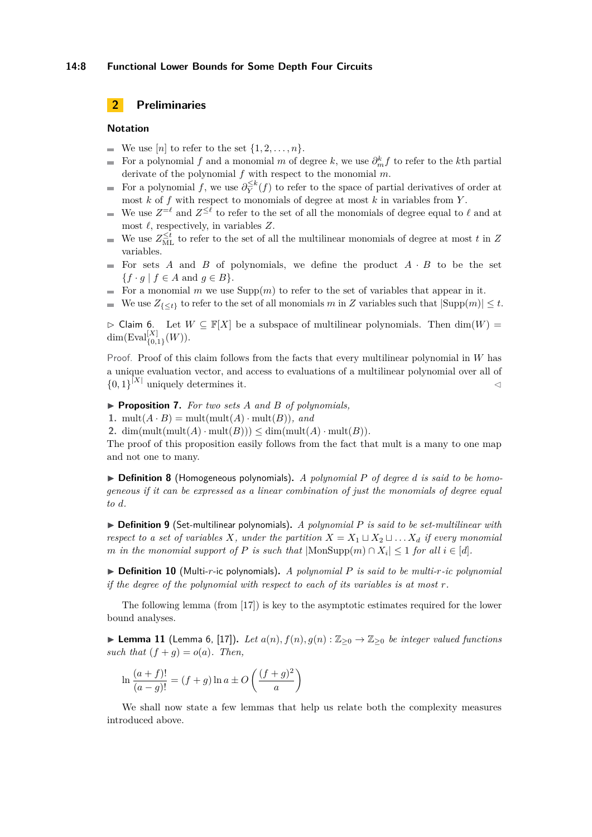### **14:8 Functional Lower Bounds for Some Depth Four Circuits**

# **2 Preliminaries**

### **Notation**

- We use  $[n]$  to refer to the set  $\{1, 2, \ldots, n\}.$
- For a polynomial *f* and a monomial *m* of degree *k*, we use  $\partial_m^k f$  to refer to the *k*th partial m. derivate of the polynomial *f* with respect to the monomial *m*.
- For a polynomial *f*, we use  $\partial_{\overline{Y}}^{\leq k}(f)$  to refer to the space of partial derivatives of order at  $\blacksquare$ most *k* of *f* with respect to monomials of degree at most *k* in variables from *Y* .
- We use  $Z^{=\ell}$  and  $Z^{\leq \ell}$  to refer to the set of all the monomials of degree equal to  $\ell$  and at ÷ most *ℓ*, respectively, in variables *Z*.
- We use  $Z_{ML}^{\leq t}$  to refer to the set of all the multilinear monomials of degree at most *t* in *Z* m. variables.
- For sets  $A$  and  $B$  of polynomials, we define the product  $A \cdot B$  to be the set  $\overline{a}$  ${f \cdot g \mid f \in A \text{ and } g \in B}.$
- For a monomial *m* we use  $\text{Supp}(m)$  to refer to the set of variables that appear in it.  $\sim$
- We use  $Z_{\{\leq t\}}$  to refer to the set of all monomials *m* in *Z* variables such that  $|\text{Supp}(m)| \leq t$ .

 $\triangleright$  Claim 6. Let  $W \subseteq \mathbb{F}[X]$  be a subspace of multilinear polynomials. Then  $\dim(W)$  $\dim(\mathrm{Eval}_{\{0,1\}}^{[X]}(W)).$ 

Proof. Proof of this claim follows from the facts that every multilinear polynomial in *W* has a unique evaluation vector, and access to evaluations of a multilinear polynomial over all of  $\{0,1\}^{|X|}$  uniquely determines it.

▶ **Proposition 7.** *For two sets A and B of polynomials,*

**1.** mult $(A \cdot B)$  = mult $(\text{mult}(A) \cdot \text{mult}(B))$ *, and* 

2. dim(mult(mult( $A$ ) · mult( $B$ ))) < dim(mult( $A$ ) · mult( $B$ )).

The proof of this proposition easily follows from the fact that mult is a many to one map and not one to many.

 $\triangleright$  **Definition 8** (Homogeneous polynomials). *A polynomial P of degree d is said to be homogeneous if it can be expressed as a linear combination of just the monomials of degree equal to d.*

▶ **Definition 9** (Set-multilinear polynomials)**.** *A polynomial P is said to be set-multilinear with respect to a set of variables X, under the partition*  $X = X_1 \sqcup X_2 \sqcup \ldots X_d$  *if every monomial m in the monomial support of P is such that*  $|\text{MonSupp}(m) \cap X_i| \leq 1$  *for all*  $i \in [d]$ *.* 

▶ **Definition 10** (Multi-*r*-ic polynomials)**.** *A polynomial P is said to be multi-r-ic polynomial if the degree of the polynomial with respect to each of its variables is at most r.*

The following lemma (from [\[17\]](#page-13-1)) is key to the asymptotic estimates required for the lower bound analyses.

▶ **Lemma 11** (Lemma 6, [\[17\]](#page-13-1)). *Let*  $a(n)$ ,  $f(n)$ ,  $g(n)$  :  $\mathbb{Z}_{>0}$  →  $\mathbb{Z}_{>0}$  *be integer valued functions such that*  $(f + g) = o(a)$ *. Then,* 

$$
\ln \frac{(a+f)!}{(a-g)!} = (f+g)\ln a \pm O\left(\frac{(f+g)^2}{a}\right)
$$

<span id="page-7-0"></span>We shall now state a few lemmas that help us relate both the complexity measures introduced above.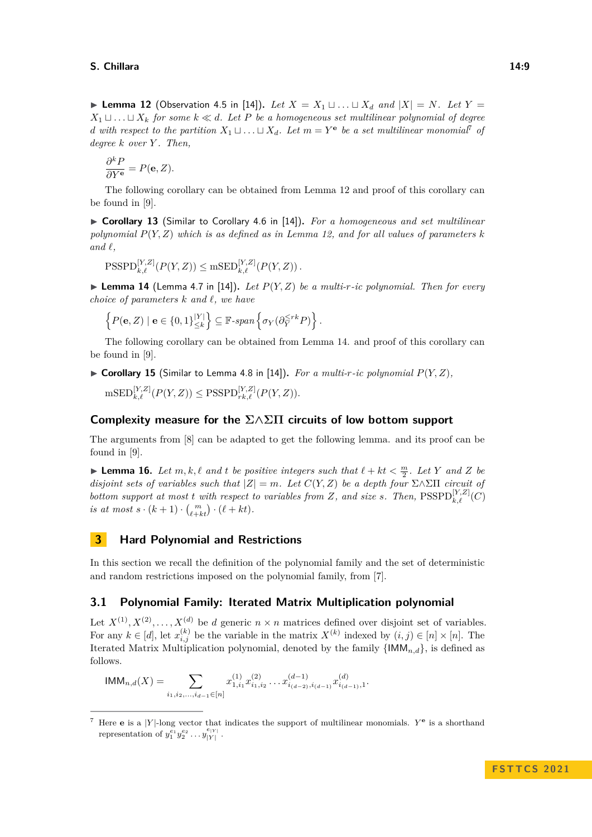▶ **Lemma 12** (Observation 4.5 in [\[14\]](#page-12-0)). Let  $X = X_1 \sqcup \ldots \sqcup X_d$  and  $|X| = N$ . Let  $Y =$  $X_1 ⊔ \ldots ⊔ X_k$  *for some*  $k \ll d$ *. Let P be a homogeneous set multilinear polynomial of degree d* with respect to the partition  $X_1 \sqcup \ldots \sqcup X_d$ . Let  $m = Y^e$  be a set multilinear monomial<sup>[7](#page-8-0)</sup> of *degree k over Y . Then,*

$$
\frac{\partial^k P}{\partial Y^{\mathbf{e}}} = P(\mathbf{e}, Z).
$$

The following corollary can be obtained from Lemma [12](#page-7-0) and proof of this corollary can be found in [\[9\]](#page-12-15).

▶ **Corollary 13** (Similar to Corollary 4.6 in [\[14\]](#page-12-0))**.** *For a homogeneous and set multilinear polynomial P*(*Y, Z*) *which is as defined as in Lemma [12,](#page-7-0) and for all values of parameters k*  $and \ell$ ,

$$
\text{PSSPD}_{k,\ell}^{[Y,Z]}(P(Y,Z)) \leq \text{mSED}_{k,\ell}^{[Y,Z]}(P(Y,Z)).
$$

<span id="page-8-1"></span> $\triangleright$  **Lemma 14** (Lemma 4.7 in [\[14\]](#page-12-0)). Let  $P(Y, Z)$  be a multi-r-ic polynomial. Then for every *choice of parameters k and ℓ, we have*

$$
\left\{P(\mathbf{e}, Z) \mid \mathbf{e} \in \{0, 1\}_{\leq k}^{|Y|}\right\} \subseteq \mathbb{F}\text{-span}\left\{\sigma_Y(\partial_Y^{\leq rk} P)\right\}.
$$

The following corollary can be obtained from Lemma [14.](#page-8-1) and proof of this corollary can be found in [\[9\]](#page-12-15).

 $\triangleright$  **Corollary 15** (Similar to Lemma 4.8 in [\[14\]](#page-12-0)). For a multi-r-ic polynomial  $P(Y, Z)$ ,  $\mathrm{msED}_{k,\ell}^{[Y,Z]}(P(Y,Z)) \leq \mathrm{PSSPD}_{rk,\ell}^{[Y,Z]}(P(Y,Z)).$ 

# **Complexity measure for the Σ∧ΣΠ circuits of low bottom support**

The arguments from [\[8\]](#page-12-8) can be adapted to get the following lemma. and its proof can be found in [\[9\]](#page-12-15).

**Example 16.** Let  $m, k, \ell$  and  $t$  be positive integers such that  $\ell + kt < \frac{m}{2}$ . Let Y and Z be *disjoint sets of variables such that*  $|Z| = m$ *. Let*  $C(Y, Z)$  *be a depth four*  $\Sigma \wedge \Sigma \Pi$  *circuit of bottom support at most <i>t with respect to variables from*  $Z$ *, and size s. Then,*  $\text{PSSPD}_{k,\ell}^{[Y,Z]}(C)$ *is at most*  $s \cdot (k+1) \cdot {m \choose \ell+kt} \cdot (\ell+kt)$ .

# **3 Hard Polynomial and Restrictions**

In this section we recall the definition of the polynomial family and the set of deterministic and random restrictions imposed on the polynomial family, from [\[7\]](#page-12-9).

# **3.1 Polynomial Family: Iterated Matrix Multiplication polynomial**

Let  $X^{(1)}, X^{(2)}, \ldots, X^{(d)}$  be *d* generic  $n \times n$  matrices defined over disjoint set of variables. For any  $k \in [d]$ , let  $x_{i,j}^{(k)}$  be the variable in the matrix  $X^{(k)}$  indexed by  $(i,j) \in [n] \times [n]$ . The Iterated Matrix Multiplication polynomial, denoted by the family  $\{IMM_{n,d}\}\$ , is defined as follows.

$$
\mathsf{IMM}_{n,d}(X) = \sum_{i_1,i_2,...,i_{d-1} \in [n]} x_{1,i_1}^{(1)} x_{i_1,i_2}^{(2)} \dots x_{i_{(d-2)},i_{(d-1)}}^{(d-1)} x_{i_{(d-1)},1}^{(d)}.
$$

<span id="page-8-0"></span><sup>&</sup>lt;sup>7</sup> Here **e** is a |*Y*|-long vector that indicates the support of multilinear monomials.  $Y^e$  is a shorthand representation of  $y_1^{e_1} y_2^{e_2} \dots y_{|Y|}^{e_{|Y|}}$ .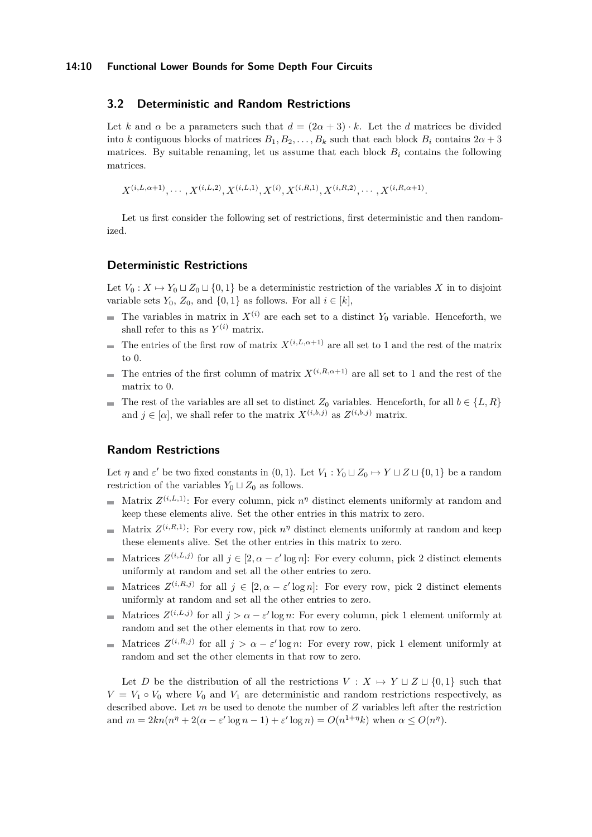### **3.2 Deterministic and Random Restrictions**

Let *k* and  $\alpha$  be a parameters such that  $d = (2\alpha + 3) \cdot k$ . Let the *d* matrices be divided into *k* contiguous blocks of matrices  $B_1, B_2, \ldots, B_k$  such that each block  $B_i$  contains  $2\alpha + 3$ matrices. By suitable renaming, let us assume that each block  $B_i$  contains the following matrices.

 $X^{(i,L,\alpha+1)}, \cdots, X^{(i,L,2)}, X^{(i,L,1)}, X^{(i)}, X^{(i,R,1)}, X^{(i,R,2)}, \cdots, X^{(i,R,\alpha+1)}.$ 

Let us first consider the following set of restrictions, first deterministic and then randomized.

### **Deterministic Restrictions**

Let  $V_0: X \mapsto Y_0 \sqcup Z_0 \sqcup \{0,1\}$  be a deterministic restriction of the variables X in to disjoint variable sets  $Y_0$ ,  $Z_0$ , and  $\{0, 1\}$  as follows. For all  $i \in [k]$ ,

- The variables in matrix in  $X^{(i)}$  are each set to a distinct  $Y_0$  variable. Henceforth, we shall refer to this as  $Y^{(i)}$  matrix.
- The entries of the first row of matrix  $X^{(i,L,\alpha+1)}$  are all set to 1 and the rest of the matrix to 0.
- The entries of the first column of matrix  $X^{(i,R,\alpha+1)}$  are all set to 1 and the rest of the matrix to 0.
- The rest of the variables are all set to distinct  $Z_0$  variables. Henceforth, for all  $b \in \{L, R\}$ m. and  $j \in [\alpha]$ , we shall refer to the matrix  $X^{(i,b,j)}$  as  $Z^{(i,b,j)}$  matrix.

# **Random Restrictions**

Let  $\eta$  and  $\varepsilon'$  be two fixed constants in  $(0,1)$ . Let  $V_1: Y_0 \sqcup Z_0 \mapsto Y \sqcup Z \sqcup \{0,1\}$  be a random restriction of the variables  $Y_0 \sqcup Z_0$  as follows.

- Matrix  $Z^{(i,L,1)}$ : For every column, pick  $n^{\eta}$  distinct elements uniformly at random and keep these elements alive. Set the other entries in this matrix to zero.
- Matrix  $Z^{(i,R,1)}$ : For every row, pick  $n^{\eta}$  distinct elements uniformly at random and keep these elements alive. Set the other entries in this matrix to zero.
- Matrices  $Z^{(i,L,j)}$  for all  $j \in [2, \alpha \varepsilon' \log n]$ : For every column, pick 2 distinct elements  $\overline{a}$ uniformly at random and set all the other entries to zero.
- Matrices  $Z^{(i,R,j)}$  for all  $j \in [2, \alpha \varepsilon' \log n]$ : For every row, pick 2 distinct elements uniformly at random and set all the other entries to zero.
- Matrices  $Z^{(i,L,j)}$  for all  $j > \alpha \varepsilon' \log n$ : For every column, pick 1 element uniformly at  $\blacksquare$ random and set the other elements in that row to zero.
- Matrices  $Z^{(i,R,j)}$  for all  $j > \alpha \varepsilon' \log n$ : For every row, pick 1 element uniformly at random and set the other elements in that row to zero.

Let *D* be the distribution of all the restrictions  $V : X \mapsto Y \sqcup Z \sqcup \{0,1\}$  such that  $V = V_1 \circ V_0$  where  $V_0$  and  $V_1$  are deterministic and random restrictions respectively, as described above. Let *m* be used to denote the number of *Z* variables left after the restriction and  $m = 2kn(n^{\eta} + 2(\alpha - \varepsilon' \log n - 1) + \varepsilon' \log n) = O(n^{1+\eta}k)$  when  $\alpha \le O(n^{\eta})$ .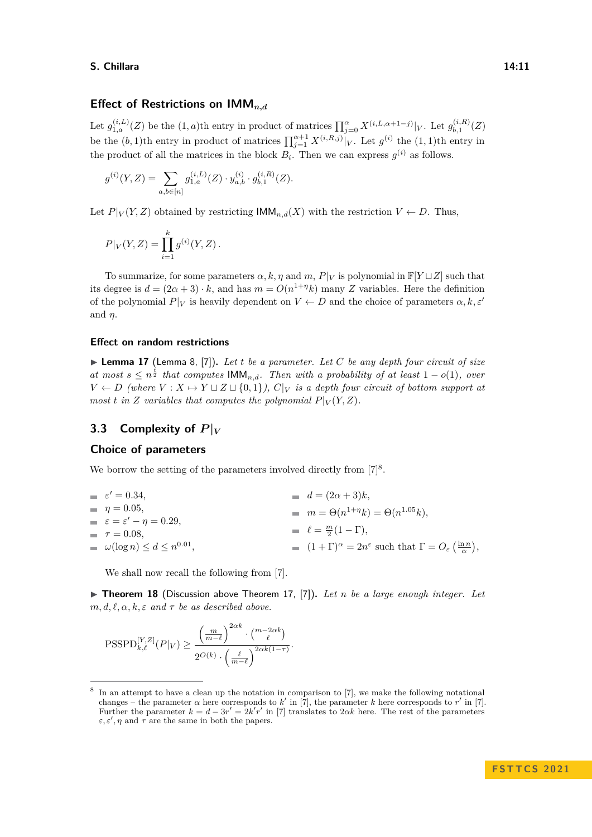# **Effect of Restrictions on IMM***n,d*

Let  $g_{1,a}^{(i,L)}(Z)$  be the  $(1,a)$ <sup>th</sup> entry in product of matrices  $\prod_{j=0}^{\alpha} X^{(i,L,\alpha+1-j)}|_V$ . Let  $g_{b,1}^{(i,R)}$  $\iota_{b,1}^{\left(\imath,\bm{\Lambda}\right)}(Z)$ be the  $(b, 1)$ <sup>th</sup> entry in product of matrices  $\prod_{j=1}^{\alpha+1} X^{(i,R,j)}|_V$ . Let  $g^{(i)}$  the  $(1, 1)$ <sup>th</sup> entry in the product of all the matrices in the block  $B_i$ . Then we can express  $g^{(i)}$  as follows.

$$
g^{(i)}(Y,Z) = \sum_{a,b \in [n]} g^{(i,L)}_{1,a}(Z) \cdot y^{(i)}_{a,b} \cdot g^{(i,R)}_{b,1}(Z).
$$

Let  $P|_V(Y, Z)$  obtained by restricting  $\mathsf{IMM}_{n,d}(X)$  with the restriction  $V \leftarrow D$ . Thus,

$$
P|_V(Y,Z) = \prod_{i=1}^k g^{(i)}(Y,Z).
$$

To summarize, for some parameters  $\alpha, k, \eta$  and  $m, P|_V$  is polynomial in  $\mathbb{F}[Y \sqcup Z]$  such that its degree is  $d = (2\alpha + 3) \cdot k$ , and has  $m = O(n^{1+\eta}k)$  many *Z* variables. Here the definition of the polynomial  $P|_V$  is heavily dependent on  $V \leftarrow D$  and the choice of parameters  $\alpha, k, \varepsilon'$ and *η*.

### **Effect on random restrictions**

<span id="page-10-1"></span>▶ **Lemma 17** (Lemma 8, [\[7\]](#page-12-9))**.** *Let t be a parameter. Let C be any depth four circuit of size at most*  $s \leq n^{\frac{t}{2}}$  *that computes*  $\mathsf{IMM}_{n,d}$ *. Then with a probability of at least*  $1 - o(1)$ *, over V* ← *D* (where  $V: X \mapsto Y \sqcup Z \sqcup \{0,1\}$ ),  $C|_V$  is a depth four circuit of bottom support at *most t* in *Z variables that computes the polynomial*  $P|_V(Y, Z)$ *.* 

# **3.3** Complexity of  $P|_V$

## **Choice of parameters**

We borrow the setting of the parameters involved directly from  $[7]^8$  $[7]^8$  $[7]^8$ .

| $\varepsilon' = 0.34$ .                     | $d = (2\alpha + 3)k,$                                                                                           |
|---------------------------------------------|-----------------------------------------------------------------------------------------------------------------|
| $\eta = 0.05$ ,                             | $m = \Theta(n^{1+\eta}k) = \Theta(n^{1.05}k),$                                                                  |
| $\varepsilon = \varepsilon' - \eta = 0.29,$ |                                                                                                                 |
| $\tau = 0.08$                               | $\ell = \frac{m}{2}(1-\Gamma),$                                                                                 |
| $\omega(\log n) \leq d \leq n^{0.01}$ ,     | $(1+\Gamma)^{\alpha} = 2n^{\varepsilon}$ such that $\Gamma = O_{\varepsilon}\left(\frac{\ln n}{\alpha}\right),$ |

We shall now recall the following from [\[7\]](#page-12-9).

▶ **Theorem 18** (Discussion above Theorem 17, [\[7\]](#page-12-9)). Let *n* be a large enough integer. Let  $m, d, \ell, \alpha, k, \varepsilon$  *and*  $\tau$  *be as described above.* 

$$
\label{eq:7} \mbox{PSSPD}_{k,\ell}^{[Y,Z]}(P|_V) \geq \frac{\left(\frac{m}{m-\ell}\right)^{2\alpha k} \cdot \binom{m-2\alpha k}{\ell}}{2^{O(k)} \cdot \left(\frac{\ell}{m-\ell}\right)^{2\alpha k(1-\tau)}}.
$$

<span id="page-10-0"></span><sup>8</sup> In an attempt to have a clean up the notation in comparison to [\[7\]](#page-12-9), we make the following notational changes – the parameter  $\alpha$  here corresponds to  $k'$  in [\[7\]](#page-12-9), the parameter  $k$  here corresponds to  $r'$  in [7]. Further the parameter  $k = d - 3r' = 2k'r'$  in [\[7\]](#page-12-9) translates to 2 $\alpha k$  here. The rest of the parameters  $\varepsilon, \varepsilon', \eta$  and  $\tau$  are the same in both the papers.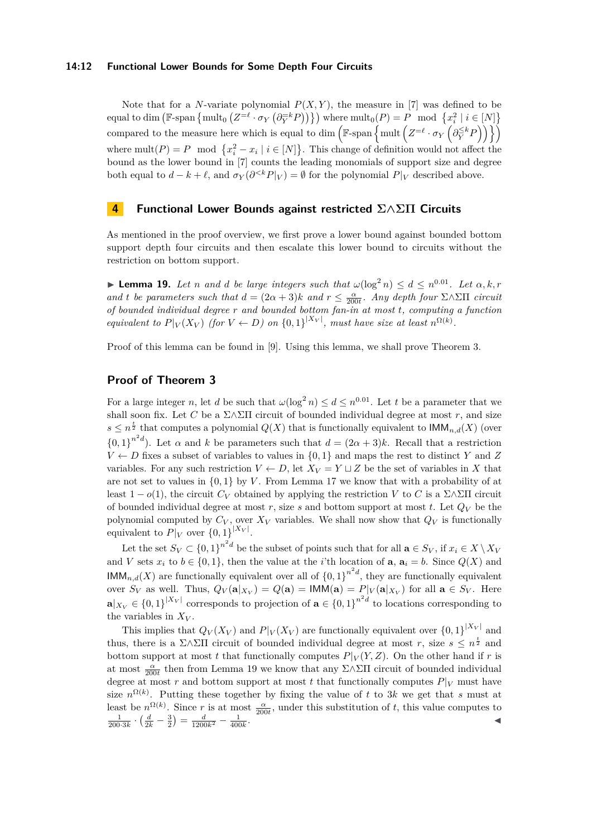### **14:12 Functional Lower Bounds for Some Depth Four Circuits**

Note that for a *N*-variate polynomial  $P(X, Y)$ , the measure in [\[7\]](#page-12-9) was defined to be  $\mathbb{R}^2$  ( $\mathbb{R}^2$   $\mathbb{R}^2$   $\mathbb{R}^2$   $\mathbb{R}^2$   $\mathbb{R}^2$   $\mathbb{R}^2$   $\mathbb{R}^2$   $\mathbb{R}^2$   $\mathbb{R}^2$   $\mathbb{R}^2$   $\mathbb{R}^2$   $\mathbb{R}^2$   $\mathbb{R}^2$   $\mathbb{R}^2$   $\mathbb{R}^2$   $\mathbb{R}^2$   $\mathbb{R}^2$   $\mathbb{R}^2$   $\mathbb{R}^2$  compared to the measure here which is equal to dim  $(\mathbb{F}\text{-span}\left\{\text{mult}\left(Z=e\cdot\sigma_Y\left(\partial_Y^{\le k}P\right)\right)\right\})$ where  $\text{mult}(P) = P \mod \{x_i^2 - x_i \mid i \in [N]\}.$  This change of definition would not affect the bound as the lower bound in [\[7\]](#page-12-9) counts the leading monomials of support size and degree both equal to  $d - k + \ell$ , and  $\sigma_Y(\partial^{< k} P|_V) = \emptyset$  for the polynomial  $P|_V$  described above.

# **4 Functional Lower Bounds against restricted Σ∧ΣΠ Circuits**

As mentioned in the proof overview, we first prove a lower bound against bounded bottom support depth four circuits and then escalate this lower bound to circuits without the restriction on bottom support.

<span id="page-11-0"></span>**Example 19.** Let *n* and *d* be large integers such that  $\omega(\log^2 n) \leq d \leq n^{0.01}$ . Let  $\alpha, k, r$ *and t be parameters such that*  $d = (2\alpha + 3)k$  *and*  $r \leq \frac{\alpha}{200t}$ . Any depth four Σ∧ΣΠ *circuit of bounded individual degree r and bounded bottom fan-in at most t, computing a function equivalent to*  $P|_V(X_V)$  (for  $V \leftarrow D$ ) on  $\{0,1\}^{|X_V|}$ , must have size at least  $n^{\Omega(k)}$ .

Proof of this lemma can be found in [\[9\]](#page-12-15). Using this lemma, we shall prove Theorem [3.](#page-3-3)

# **Proof of Theorem [3](#page-3-3)**

For a large integer *n*, let *d* be such that  $\omega(\log^2 n) \leq d \leq n^{0.01}$ . Let *t* be a parameter that we shall soon fix. Let *C* be a  $\Sigma \wedge \Sigma \Pi$  circuit of bounded individual degree at most *r*, and size  $s \leq n^{\frac{t}{2}}$  that computes a polynomial  $Q(X)$  that is functionally equivalent to  $\mathsf{IMM}_{n,d}(X)$  (over  ${0,1}^{n^2d}$ . Let  $\alpha$  and  $k$  be parameters such that  $d = (2\alpha + 3)k$ . Recall that a restriction  $V \leftarrow D$  fixes a subset of variables to values in  $\{0,1\}$  and maps the rest to distinct *Y* and *Z* variables. For any such restriction  $V \leftarrow D$ , let  $X_V = Y \sqcup Z$  be the set of variables in X that are not set to values in  $\{0, 1\}$  by *V*. From Lemma [17](#page-10-1) we know that with a probability of at least  $1 - o(1)$ , the circuit  $C_V$  obtained by applying the restriction *V* to *C* is a Σ∧ΣΠ circuit of bounded individual degree at most  $r$ , size  $s$  and bottom support at most  $t$ . Let  $Q_V$  be the polynomial computed by  $C_V$ , over  $X_V$  variables. We shall now show that  $Q_V$  is functionally equivalent to  $P|_V$  over  $\{0,1\}^{|X_V|}$ .

Let the set  $S_V \subset \{0,1\}^{n^2d}$  be the subset of points such that for all  $\mathbf{a} \in S_V$ , if  $x_i \in X \setminus X_V$ and *V* sets  $x_i$  to  $b \in \{0,1\}$ , then the value at the *i*'th location of **a**,  $a_i = b$ . Since  $Q(X)$  and  $\text{IMM}_{n,d}(X)$  are functionally equivalent over all of  ${0,1}^{n^2d}$ , they are functionally equivalent over  $S_V$  as well. Thus,  $Q_V(\mathbf{a}|_{X_V}) = Q(\mathbf{a}) = \mathsf{IMM}(\mathbf{a}) = P|_V(\mathbf{a}|_{X_V})$  for all  $\mathbf{a} \in S_V$ . Here  $\mathbf{a}|_{X_V} \in \{0,1\}^{|X_V|}$  corresponds to projection of  $\mathbf{a} \in \{0,1\}^{n^2 d}$  to locations corresponding to the variables in *X<sup>V</sup>* .

This implies that  $Q_V(X_V)$  and  $P|_V(X_V)$  are functionally equivalent over  $\{0,1\}^{|X_V|}$  and thus, there is a  $\Sigma \wedge \Sigma \Pi$  circuit of bounded individual degree at most *r*, size  $s \leq n^{\frac{t}{2}}$  and bottom support at most *t* that functionally computes  $P|_V(Y,Z)$ . On the other hand if *r* is at most  $\frac{\alpha}{200t}$  then from Lemma [19](#page-11-0) we know that any  $\Sigma \wedge \Sigma \Pi$  circuit of bounded individual degree at most *r* and bottom support at most *t* that functionally computes  $P|_V$  must have size  $n^{\Omega(k)}$ . Putting these together by fixing the value of t to 3k we get that s must at least be  $n^{\Omega(k)}$ . Since *r* is at most  $\frac{\alpha}{200t}$ , under this substitution of *t*, this value computes to  $\frac{1}{200 \cdot 3k} \cdot \left(\frac{d}{2k} - \frac{3}{2}\right) = \frac{d}{1200k^2} - \frac{1}{400k}.$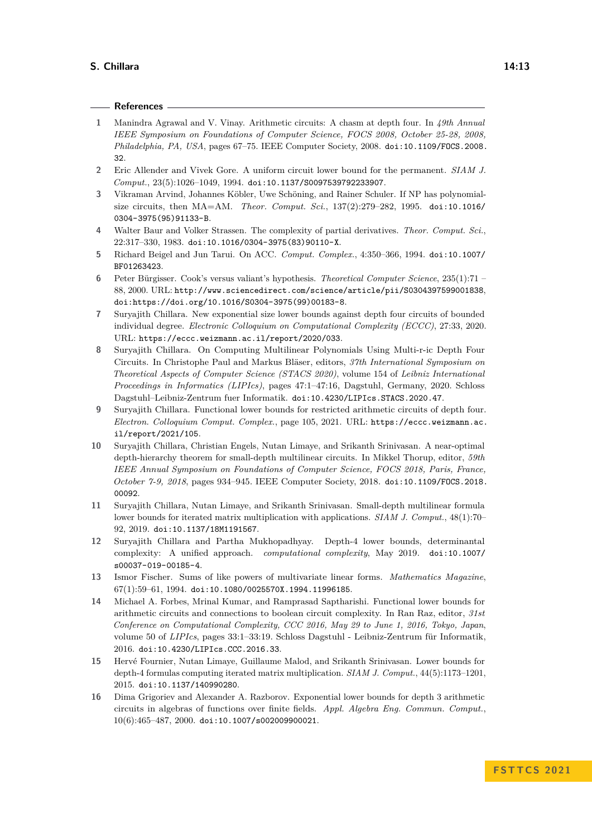#### **References**

- <span id="page-12-4"></span>**1** Manindra Agrawal and V. Vinay. Arithmetic circuits: A chasm at depth four. In *49th Annual IEEE Symposium on Foundations of Computer Science, FOCS 2008, October 25-28, 2008, Philadelphia, PA, USA*, pages 67–75. IEEE Computer Society, 2008. [doi:10.1109/FOCS.2008.](https://doi.org/10.1109/FOCS.2008.32) [32](https://doi.org/10.1109/FOCS.2008.32).
- <span id="page-12-12"></span>**2** Eric Allender and Vivek Gore. A uniform circuit lower bound for the permanent. *SIAM J. Comput.*, 23(5):1026–1049, 1994. [doi:10.1137/S0097539792233907](https://doi.org/10.1137/S0097539792233907).
- <span id="page-12-2"></span>**3** Vikraman Arvind, Johannes Köbler, Uwe Schöning, and Rainer Schuler. If NP has polynomialsize circuits, then MA=AM. *Theor. Comput. Sci.*, 137(2):279–282, 1995. [doi:10.1016/](https://doi.org/10.1016/0304-3975(95)91133-B) [0304-3975\(95\)91133-B](https://doi.org/10.1016/0304-3975(95)91133-B).
- <span id="page-12-3"></span>**4** Walter Baur and Volker Strassen. The complexity of partial derivatives. *Theor. Comput. Sci.*, 22:317–330, 1983. [doi:10.1016/0304-3975\(83\)90110-X](https://doi.org/10.1016/0304-3975(83)90110-X).
- <span id="page-12-13"></span>**5** Richard Beigel and Jun Tarui. On ACC. *Comput. Complex.*, 4:350–366, 1994. [doi:10.1007/](https://doi.org/10.1007/BF01263423) [BF01263423](https://doi.org/10.1007/BF01263423).
- <span id="page-12-1"></span>**6** Peter Bürgisser. Cook's versus valiant's hypothesis. *Theoretical Computer Science*, 235(1):71 – 88, 2000. URL: <http://www.sciencedirect.com/science/article/pii/S0304397599001838>, [doi:https://doi.org/10.1016/S0304-3975\(99\)00183-8](https://doi.org/https://doi.org/10.1016/S0304-3975(99)00183-8).
- <span id="page-12-9"></span>**7** Suryajith Chillara. New exponential size lower bounds against depth four circuits of bounded individual degree. *Electronic Colloquium on Computational Complexity (ECCC)*, 27:33, 2020. URL: <https://eccc.weizmann.ac.il/report/2020/033>.
- <span id="page-12-8"></span>**8** Suryajith Chillara. On Computing Multilinear Polynomials Using Multi-r-ic Depth Four Circuits. In Christophe Paul and Markus Bläser, editors, *37th International Symposium on Theoretical Aspects of Computer Science (STACS 2020)*, volume 154 of *Leibniz International Proceedings in Informatics (LIPIcs)*, pages 47:1–47:16, Dagstuhl, Germany, 2020. Schloss Dagstuhl–Leibniz-Zentrum fuer Informatik. [doi:10.4230/LIPIcs.STACS.2020.47](https://doi.org/10.4230/LIPIcs.STACS.2020.47).
- <span id="page-12-15"></span>**9** Suryajith Chillara. Functional lower bounds for restricted arithmetic circuits of depth four. *Electron. Colloquium Comput. Complex.*, page 105, 2021. URL: [https://eccc.weizmann.ac.](https://eccc.weizmann.ac.il/report/2021/105) [il/report/2021/105](https://eccc.weizmann.ac.il/report/2021/105).
- <span id="page-12-11"></span>**10** Suryajith Chillara, Christian Engels, Nutan Limaye, and Srikanth Srinivasan. A near-optimal depth-hierarchy theorem for small-depth multilinear circuits. In Mikkel Thorup, editor, *59th IEEE Annual Symposium on Foundations of Computer Science, FOCS 2018, Paris, France, October 7-9, 2018*, pages 934–945. IEEE Computer Society, 2018. [doi:10.1109/FOCS.2018.](https://doi.org/10.1109/FOCS.2018.00092) [00092](https://doi.org/10.1109/FOCS.2018.00092).
- <span id="page-12-7"></span>**11** Suryajith Chillara, Nutan Limaye, and Srikanth Srinivasan. Small-depth multilinear formula lower bounds for iterated matrix multiplication with applications. *SIAM J. Comput.*, 48(1):70– 92, 2019. [doi:10.1137/18M1191567](https://doi.org/10.1137/18M1191567).
- <span id="page-12-6"></span>**12** Suryajith Chillara and Partha Mukhopadhyay. Depth-4 lower bounds, determinantal complexity: A unified approach. *computational complexity*, May 2019. [doi:10.1007/](https://doi.org/10.1007/s00037-019-00185-4) [s00037-019-00185-4](https://doi.org/10.1007/s00037-019-00185-4).
- <span id="page-12-14"></span>**13** Ismor Fischer. Sums of like powers of multivariate linear forms. *Mathematics Magazine*,  $67(1):59-61, 1994.$  [doi:10.1080/0025570X.1994.11996185](https://doi.org/10.1080/0025570X.1994.11996185).
- <span id="page-12-0"></span>**14** Michael A. Forbes, Mrinal Kumar, and Ramprasad Saptharishi. Functional lower bounds for arithmetic circuits and connections to boolean circuit complexity. In Ran Raz, editor, *31st Conference on Computational Complexity, CCC 2016, May 29 to June 1, 2016, Tokyo, Japan*, volume 50 of *LIPIcs*, pages 33:1–33:19. Schloss Dagstuhl - Leibniz-Zentrum für Informatik, 2016. [doi:10.4230/LIPIcs.CCC.2016.33](https://doi.org/10.4230/LIPIcs.CCC.2016.33).
- <span id="page-12-5"></span>**15** Hervé Fournier, Nutan Limaye, Guillaume Malod, and Srikanth Srinivasan. Lower bounds for depth-4 formulas computing iterated matrix multiplication. *SIAM J. Comput.*, 44(5):1173–1201, 2015. [doi:10.1137/140990280](https://doi.org/10.1137/140990280).
- <span id="page-12-10"></span>**16** Dima Grigoriev and Alexander A. Razborov. Exponential lower bounds for depth 3 arithmetic circuits in algebras of functions over finite fields. *Appl. Algebra Eng. Commun. Comput.*, 10(6):465–487, 2000. [doi:10.1007/s002009900021](https://doi.org/10.1007/s002009900021).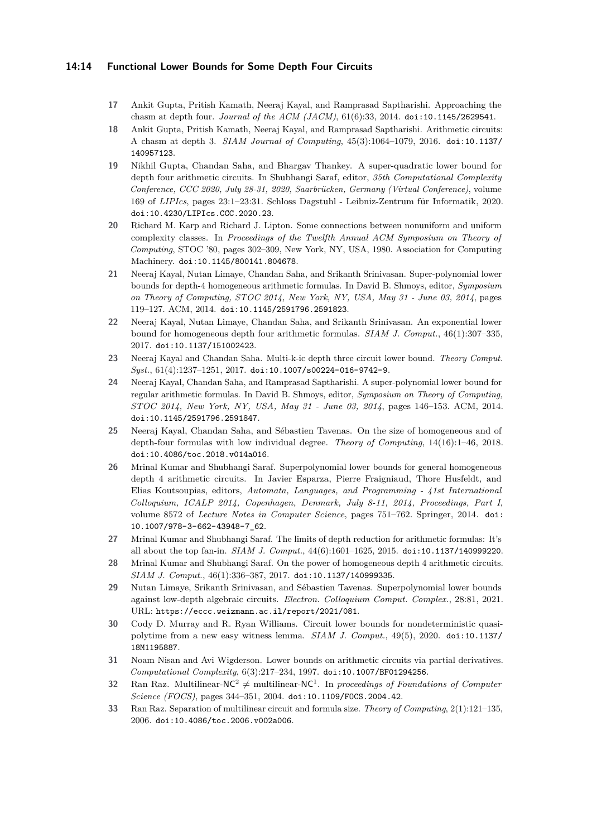### **14:14 Functional Lower Bounds for Some Depth Four Circuits**

- <span id="page-13-1"></span>**17** Ankit Gupta, Pritish Kamath, Neeraj Kayal, and Ramprasad Saptharishi. Approaching the chasm at depth four. *Journal of the ACM (JACM)*, 61(6):33, 2014. [doi:10.1145/2629541](https://doi.org/10.1145/2629541).
- <span id="page-13-15"></span>**18** Ankit Gupta, Pritish Kamath, Neeraj Kayal, and Ramprasad Saptharishi. Arithmetic circuits: A chasm at depth 3. *SIAM Journal of Computing*, 45(3):1064–1079, 2016. [doi:10.1137/](https://doi.org/10.1137/140957123) [140957123](https://doi.org/10.1137/140957123).
- <span id="page-13-10"></span>**19** Nikhil Gupta, Chandan Saha, and Bhargav Thankey. A super-quadratic lower bound for depth four arithmetic circuits. In Shubhangi Saraf, editor, *35th Computational Complexity Conference, CCC 2020, July 28-31, 2020, Saarbrücken, Germany (Virtual Conference)*, volume 169 of *LIPIcs*, pages 23:1–23:31. Schloss Dagstuhl - Leibniz-Zentrum für Informatik, 2020. [doi:10.4230/LIPIcs.CCC.2020.23](https://doi.org/10.4230/LIPIcs.CCC.2020.23).
- <span id="page-13-0"></span>**20** Richard M. Karp and Richard J. Lipton. Some connections between nonuniform and uniform complexity classes. In *Proceedings of the Twelfth Annual ACM Symposium on Theory of Computing*, STOC '80, pages 302–309, New York, NY, USA, 1980. Association for Computing Machinery. [doi:10.1145/800141.804678](https://doi.org/10.1145/800141.804678).
- <span id="page-13-4"></span>**21** Neeraj Kayal, Nutan Limaye, Chandan Saha, and Srikanth Srinivasan. Super-polynomial lower bounds for depth-4 homogeneous arithmetic formulas. In David B. Shmoys, editor, *Symposium on Theory of Computing, STOC 2014, New York, NY, USA, May 31 - June 03, 2014*, pages 119–127. ACM, 2014. [doi:10.1145/2591796.2591823](https://doi.org/10.1145/2591796.2591823).
- <span id="page-13-6"></span>**22** Neeraj Kayal, Nutan Limaye, Chandan Saha, and Srikanth Srinivasan. An exponential lower bound for homogeneous depth four arithmetic formulas. *SIAM J. Comput.*, 46(1):307–335, 2017. [doi:10.1137/151002423](https://doi.org/10.1137/151002423).
- <span id="page-13-16"></span>**23** Neeraj Kayal and Chandan Saha. Multi-k-ic depth three circuit lower bound. *Theory Comput. Syst.*, 61(4):1237–1251, 2017. [doi:10.1007/s00224-016-9742-9](https://doi.org/10.1007/s00224-016-9742-9).
- <span id="page-13-2"></span>**24** Neeraj Kayal, Chandan Saha, and Ramprasad Saptharishi. A super-polynomial lower bound for regular arithmetic formulas. In David B. Shmoys, editor, *Symposium on Theory of Computing, STOC 2014, New York, NY, USA, May 31 - June 03, 2014*, pages 146–153. ACM, 2014. [doi:10.1145/2591796.2591847](https://doi.org/10.1145/2591796.2591847).
- <span id="page-13-8"></span>**25** Neeraj Kayal, Chandan Saha, and Sébastien Tavenas. On the size of homogeneous and of depth-four formulas with low individual degree. *Theory of Computing*, 14(16):1–46, 2018. [doi:10.4086/toc.2018.v014a016](https://doi.org/10.4086/toc.2018.v014a016).
- <span id="page-13-5"></span>**26** Mrinal Kumar and Shubhangi Saraf. Superpolynomial lower bounds for general homogeneous depth 4 arithmetic circuits. In Javier Esparza, Pierre Fraigniaud, Thore Husfeldt, and Elias Koutsoupias, editors, *Automata, Languages, and Programming - 41st International Colloquium, ICALP 2014, Copenhagen, Denmark, July 8-11, 2014, Proceedings, Part I*, volume 8572 of *Lecture Notes in Computer Science*, pages 751–762. Springer, 2014. [doi:](https://doi.org/10.1007/978-3-662-43948-7_62) [10.1007/978-3-662-43948-7\\_62](https://doi.org/10.1007/978-3-662-43948-7_62).
- <span id="page-13-3"></span>**27** Mrinal Kumar and Shubhangi Saraf. The limits of depth reduction for arithmetic formulas: It's all about the top fan-in. *SIAM J. Comput.*, 44(6):1601–1625, 2015. [doi:10.1137/140999220](https://doi.org/10.1137/140999220).
- <span id="page-13-7"></span>**28** Mrinal Kumar and Shubhangi Saraf. On the power of homogeneous depth 4 arithmetic circuits. *SIAM J. Comput.*, 46(1):336–387, 2017. [doi:10.1137/140999335](https://doi.org/10.1137/140999335).
- <span id="page-13-9"></span>**29** Nutan Limaye, Srikanth Srinivasan, and Sébastien Tavenas. Superpolynomial lower bounds against low-depth algebraic circuits. *Electron. Colloquium Comput. Complex.*, 28:81, 2021. URL: <https://eccc.weizmann.ac.il/report/2021/081>.
- <span id="page-13-14"></span>**30** Cody D. Murray and R. Ryan Williams. Circuit lower bounds for nondeterministic quasipolytime from a new easy witness lemma. *SIAM J. Comput.*, 49(5), 2020. [doi:10.1137/](https://doi.org/10.1137/18M1195887) [18M1195887](https://doi.org/10.1137/18M1195887).
- <span id="page-13-13"></span>**31** Noam Nisan and Avi Wigderson. Lower bounds on arithmetic circuits via partial derivatives. *Computational Complexity*, 6(3):217–234, 1997. [doi:10.1007/BF01294256](https://doi.org/10.1007/BF01294256).
- <span id="page-13-12"></span>**32** Ran Raz. Multilinear-NC<sup>2</sup>  $\neq$  multilinear-NC<sup>1</sup>. In *proceedings of Foundations of Computer Science (FOCS)*, pages 344–351, 2004. [doi:10.1109/FOCS.2004.42](https://doi.org/10.1109/FOCS.2004.42).
- <span id="page-13-11"></span>**33** Ran Raz. Separation of multilinear circuit and formula size. *Theory of Computing*, 2(1):121–135, 2006. [doi:10.4086/toc.2006.v002a006](https://doi.org/10.4086/toc.2006.v002a006).